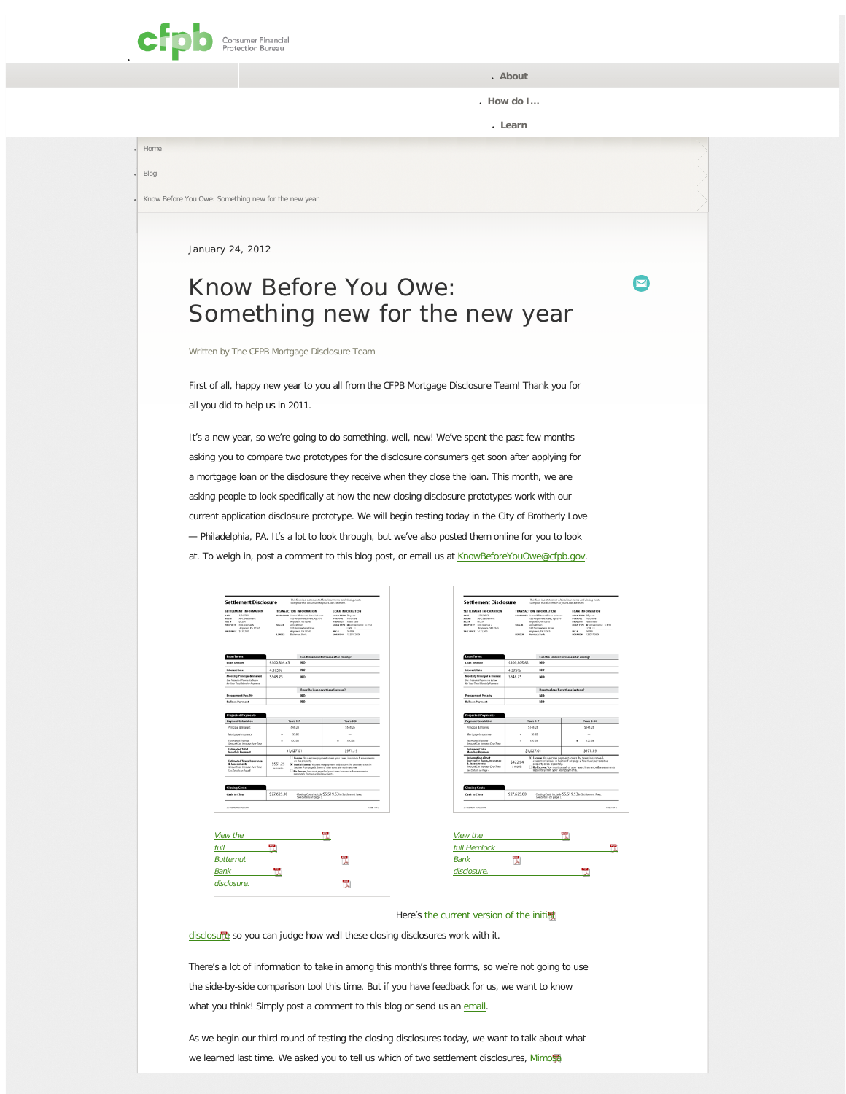<span id="page-0-0"></span>

● **[About](#page-0-0)**

● **[How do I](#page-0-0)…**

 $\blacktriangledown$ 

● **[Learn](#page-0-0)**

● [Home](http://www.consumerfinance.gov/) [Blog](http://www.consumerfinance.gov/blog/)

Know Before You Owe: Something new for the new year

 $\log$ 

January 24, 2012

## Know Before You Owe: Something new for the new year

Written by [The CFPB Mortgage Disclosure Team](http://www.consumerfinance.gov/author/cfpbmortgagedisclosure/)

First of all, happy new year to you all from the CFPB Mortgage Disclosure Team! Thank you for all you did to help us in 2011.

It's a new year, so we're going to do something, well, new! We've spent the past few months asking you to compare two prototypes for the disclosure consumers get soon after applying for a mortgage loan or the disclosure they receive when they close the loan. This month, we are asking people to look specifically at how the new closing disclosure prototypes work with our current application disclosure prototype. We will begin testing today in the City of Brotherly Love — Philadelphia, PA. It's a lot to look through, but we've also posted them online for you to look at. To weigh in, post a comment to this blog post, or email us at [KnowBeforeYouOwe@cfpb.gov](mailto: KnowBeforeYouOwe@cfpb.gov).

| <b>Settlement Disclosure</b>                                                                                                                                                      |                                                                                                                                                                                                                                                | This form is a statement of final loan terms and closing costs.<br>Compare this document to your Loan Extimate.                                                                                                                                                                                                                                          |  |  |  |  |
|-----------------------------------------------------------------------------------------------------------------------------------------------------------------------------------|------------------------------------------------------------------------------------------------------------------------------------------------------------------------------------------------------------------------------------------------|----------------------------------------------------------------------------------------------------------------------------------------------------------------------------------------------------------------------------------------------------------------------------------------------------------------------------------------------------------|--|--|--|--|
| SETTLEMENT INFORMATION<br>nanc<br>1/24/2012<br><b>AGENT</b><br><b>ADC Settlement</b><br>01356<br>11.68<br>PROPERTY <b>ATA Avenue A</b><br>Arytown, PA 12345<br>SALEPHACE 5123.500 | TRANSACTION INFORMATION<br>anagement James White and Jane Johnson<br>123 Arywhere Street, Apr 676<br>Arytown, PA 12545<br><b>NELLER</b><br>John Wilson<br>121 Screenhere Drive<br>Announce PA 12545<br><b>LONDER</b><br><b>Bultimored Bank</b> | <b>LOAN INFORMATION</b><br>LORN TERM 20 years<br>PUBRISE Furniture<br>PRODUCT Food form<br>LORA TVPE Millenwrittend C FIAA<br>CARL CL<br>56769<br>MC <sub>*</sub><br>LOBA 03 # 1330172608                                                                                                                                                                |  |  |  |  |
| <b>Lean Terms</b>                                                                                                                                                                 |                                                                                                                                                                                                                                                | Can this amount increase after closing?                                                                                                                                                                                                                                                                                                                  |  |  |  |  |
| <b>Loan Amount</b>                                                                                                                                                                | \$109,805.63<br><b>NO</b>                                                                                                                                                                                                                      |                                                                                                                                                                                                                                                                                                                                                          |  |  |  |  |
| <b>Inferent Rate</b>                                                                                                                                                              | <b>NO</b><br>4.375%                                                                                                                                                                                                                            |                                                                                                                                                                                                                                                                                                                                                          |  |  |  |  |
| <b>Monthly Principal &amp; Interest</b><br>Los Projected Payments Below<br>Air Your Total Monthly Poyment                                                                         | \$548.25<br><b>NO</b>                                                                                                                                                                                                                          |                                                                                                                                                                                                                                                                                                                                                          |  |  |  |  |
| <b>Prepayment Penalty</b>                                                                                                                                                         | Does the loan have these features?<br><b>NO</b>                                                                                                                                                                                                |                                                                                                                                                                                                                                                                                                                                                          |  |  |  |  |
| <b>Balloon Payment</b>                                                                                                                                                            | NO <sub>1</sub>                                                                                                                                                                                                                                |                                                                                                                                                                                                                                                                                                                                                          |  |  |  |  |
| Principal & Interest.<br>Mortgage Insurance                                                                                                                                       | \$548.25<br>\$5.82                                                                                                                                                                                                                             | \$548.25<br>$\sim$                                                                                                                                                                                                                                                                                                                                       |  |  |  |  |
| Estimated Escrow<br>Amount Can Increase Deer Time                                                                                                                                 | 422.94<br>٠                                                                                                                                                                                                                                    | 422.94<br>٠                                                                                                                                                                                                                                                                                                                                              |  |  |  |  |
| Estimated Total<br><b>Monthly Payment</b>                                                                                                                                         | \$1,027.01                                                                                                                                                                                                                                     | \$971.19                                                                                                                                                                                                                                                                                                                                                 |  |  |  |  |
| Estimated Taxes, Incurance<br>& Assessments<br>Amount Can Increase Dear Time<br>Say Data Is on Rose &                                                                             | \$551.25<br>a month.                                                                                                                                                                                                                           | E BADOW, Nour encourage payment covers your taxes, insurance & assessments.<br>on the property<br>X. Partial Excrem. Your exciter payment only severs the property statu in<br>Section F on page 3. Some of your costs are not in exclose.<br>No Exerges. You must pay all of your taxes, insurance & assessments<br>separately from your losh payments. |  |  |  |  |
| <b>Closing Costs</b><br><b>Cash to Close</b>                                                                                                                                      | \$27,625.00                                                                                                                                                                                                                                    | Closing Costs include \$5,519.53 in Settlement Fees.<br>See details on page 3.                                                                                                                                                                                                                                                                           |  |  |  |  |
|                                                                                                                                                                                   |                                                                                                                                                                                                                                                | <b>PAGE 1 OF 11</b>                                                                                                                                                                                                                                                                                                                                      |  |  |  |  |
| <b>SCIELEMENT DISCUSSION</b>                                                                                                                                                      |                                                                                                                                                                                                                                                |                                                                                                                                                                                                                                                                                                                                                          |  |  |  |  |



[Bank](http://www.consumerfinance.gov/wp-content/uploads/2012/01/Jan2012_Settlement_Butternut.pdf)  disclosure



| View the     |  |  |
|--------------|--|--|
| full Hemlock |  |  |
| <b>Bank</b>  |  |  |
| disclosure.  |  |  |
|              |  |  |

## Here's [the current version of the initial](http://www.consumerfinance.gov/wp-content/uploads/2012/01/Jan2012_Estimate_Honeylocust.pdf)

[disclosure](http://www.consumerfinance.gov/wp-content/uploads/2012/01/Jan2012_Estimate_Honeylocust.pdf) so you can judge how well these closing disclosures work with it.

There's a lot of information to take in among this month's three forms, so we're not going to use the side-by-side comparison tool this time. But if you have feedback for us, we want to know what you think! Simply post a comment to this blog or send us an [email.](mailto: KnowBeforeYouOwe@cfpb.gov)

As we begin our third round of testing the closing disclosures today, we want to talk about what we learned last time. We asked you to tell us which of two settlement disclosures, [Mimosa](http://www.consumerfinance.gov/wp-content/themes/cfpb_theme/images/kbyo/mimosa.pdf)